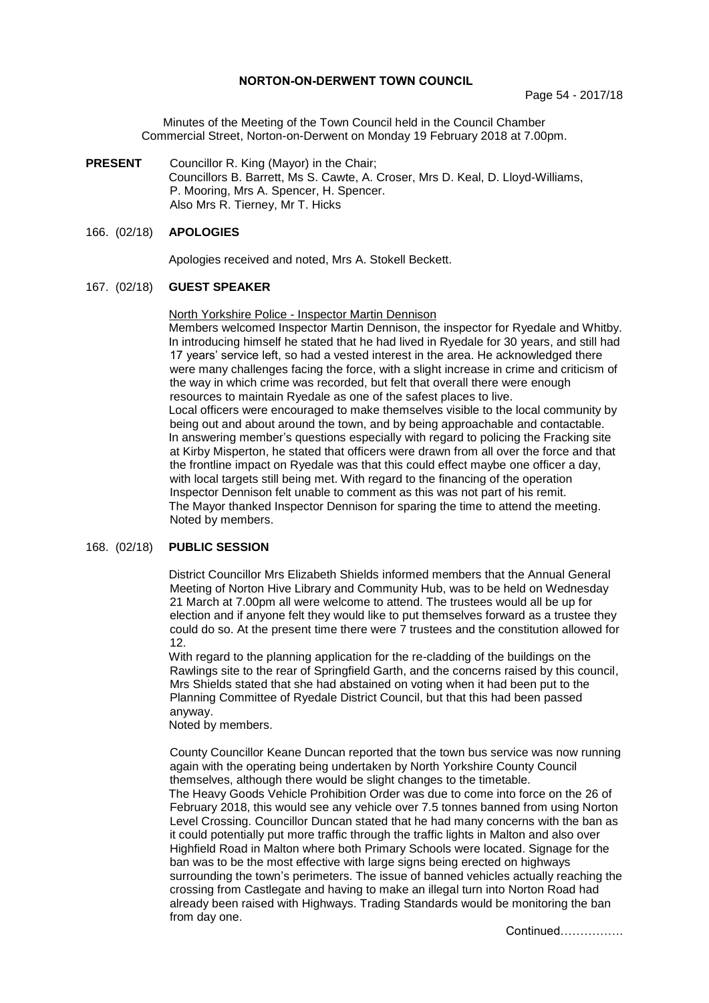### **NORTON-ON-DERWENT TOWN COUNCIL**

Minutes of the Meeting of the Town Council held in the Council Chamber Commercial Street, Norton-on-Derwent on Monday 19 February 2018 at 7.00pm.

**PRESENT** Councillor R. King (Mayor) in the Chair; Councillors B. Barrett, Ms S. Cawte, A. Croser, Mrs D. Keal, D. Lloyd-Williams, P. Mooring, Mrs A. Spencer, H. Spencer. Also Mrs R. Tierney, Mr T. Hicks

## 166. (02/18) **APOLOGIES**

Apologies received and noted, Mrs A. Stokell Beckett.

#### 167. (02/18) **GUEST SPEAKER**

#### North Yorkshire Police - Inspector Martin Dennison

Members welcomed Inspector Martin Dennison, the inspector for Ryedale and Whitby. In introducing himself he stated that he had lived in Ryedale for 30 years, and still had 17 years' service left, so had a vested interest in the area. He acknowledged there were many challenges facing the force, with a slight increase in crime and criticism of the way in which crime was recorded, but felt that overall there were enough resources to maintain Ryedale as one of the safest places to live. Local officers were encouraged to make themselves visible to the local community by being out and about around the town, and by being approachable and contactable. In answering member's questions especially with regard to policing the Fracking site at Kirby Misperton, he stated that officers were drawn from all over the force and that the frontline impact on Ryedale was that this could effect maybe one officer a day, with local targets still being met. With regard to the financing of the operation Inspector Dennison felt unable to comment as this was not part of his remit. The Mayor thanked Inspector Dennison for sparing the time to attend the meeting. Noted by members.

## 168. (02/18) **PUBLIC SESSION**

District Councillor Mrs Elizabeth Shields informed members that the Annual General Meeting of Norton Hive Library and Community Hub, was to be held on Wednesday 21 March at 7.00pm all were welcome to attend. The trustees would all be up for election and if anyone felt they would like to put themselves forward as a trustee they could do so. At the present time there were 7 trustees and the constitution allowed for 12.

With regard to the planning application for the re-cladding of the buildings on the Rawlings site to the rear of Springfield Garth, and the concerns raised by this council, Mrs Shields stated that she had abstained on voting when it had been put to the Planning Committee of Ryedale District Council, but that this had been passed anyway.

Noted by members.

County Councillor Keane Duncan reported that the town bus service was now running again with the operating being undertaken by North Yorkshire County Council themselves, although there would be slight changes to the timetable. The Heavy Goods Vehicle Prohibition Order was due to come into force on the 26 of February 2018, this would see any vehicle over 7.5 tonnes banned from using Norton Level Crossing. Councillor Duncan stated that he had many concerns with the ban as it could potentially put more traffic through the traffic lights in Malton and also over Highfield Road in Malton where both Primary Schools were located. Signage for the ban was to be the most effective with large signs being erected on highways surrounding the town's perimeters. The issue of banned vehicles actually reaching the crossing from Castlegate and having to make an illegal turn into Norton Road had already been raised with Highways. Trading Standards would be monitoring the ban from day one.

Continued…………….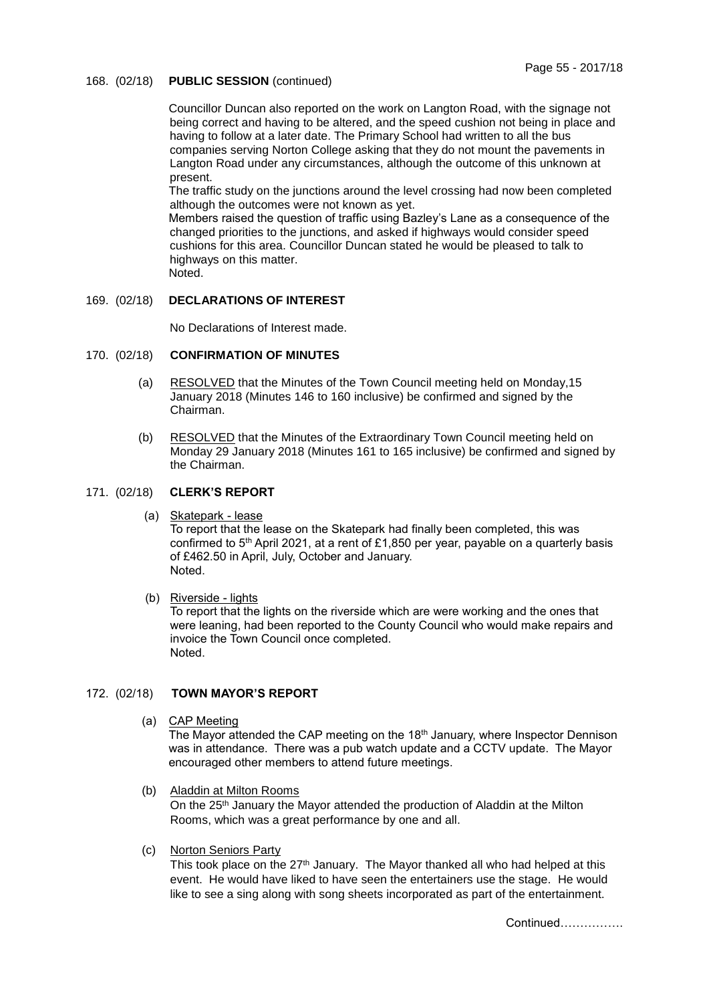## 168. (02/18) **PUBLIC SESSION** (continued)

Councillor Duncan also reported on the work on Langton Road, with the signage not being correct and having to be altered, and the speed cushion not being in place and having to follow at a later date. The Primary School had written to all the bus companies serving Norton College asking that they do not mount the pavements in Langton Road under any circumstances, although the outcome of this unknown at present.

The traffic study on the junctions around the level crossing had now been completed although the outcomes were not known as yet.

Members raised the question of traffic using Bazley's Lane as a consequence of the changed priorities to the junctions, and asked if highways would consider speed cushions for this area. Councillor Duncan stated he would be pleased to talk to highways on this matter. Noted.

### 169. (02/18) **DECLARATIONS OF INTEREST**

No Declarations of Interest made.

## 170. (02/18) **CONFIRMATION OF MINUTES**

- (a) RESOLVED that the Minutes of the Town Council meeting held on Monday,15 January 2018 (Minutes 146 to 160 inclusive) be confirmed and signed by the Chairman.
- (b) RESOLVED that the Minutes of the Extraordinary Town Council meeting held on Monday 29 January 2018 (Minutes 161 to 165 inclusive) be confirmed and signed by the Chairman.

## 171. (02/18) **CLERK'S REPORT**

(a) Skatepark - lease

To report that the lease on the Skatepark had finally been completed, this was confirmed to 5<sup>th</sup> April 2021, at a rent of £1,850 per year, payable on a quarterly basis of £462.50 in April, July, October and January. Noted.

(b) Riverside - lights

To report that the lights on the riverside which are were working and the ones that were leaning, had been reported to the County Council who would make repairs and invoice the Town Council once completed. Noted.

### 172. (02/18) **TOWN MAYOR'S REPORT**

(a) CAP Meeting

The Mayor attended the CAP meeting on the 18th January, where Inspector Dennison was in attendance. There was a pub watch update and a CCTV update. The Mayor encouraged other members to attend future meetings.

- (b) Aladdin at Milton Rooms On the 25<sup>th</sup> January the Mayor attended the production of Aladdin at the Milton Rooms, which was a great performance by one and all.
- (c) Norton Seniors Party

This took place on the 27<sup>th</sup> January. The Mayor thanked all who had helped at this event. He would have liked to have seen the entertainers use the stage. He would like to see a sing along with song sheets incorporated as part of the entertainment.

Continued…………….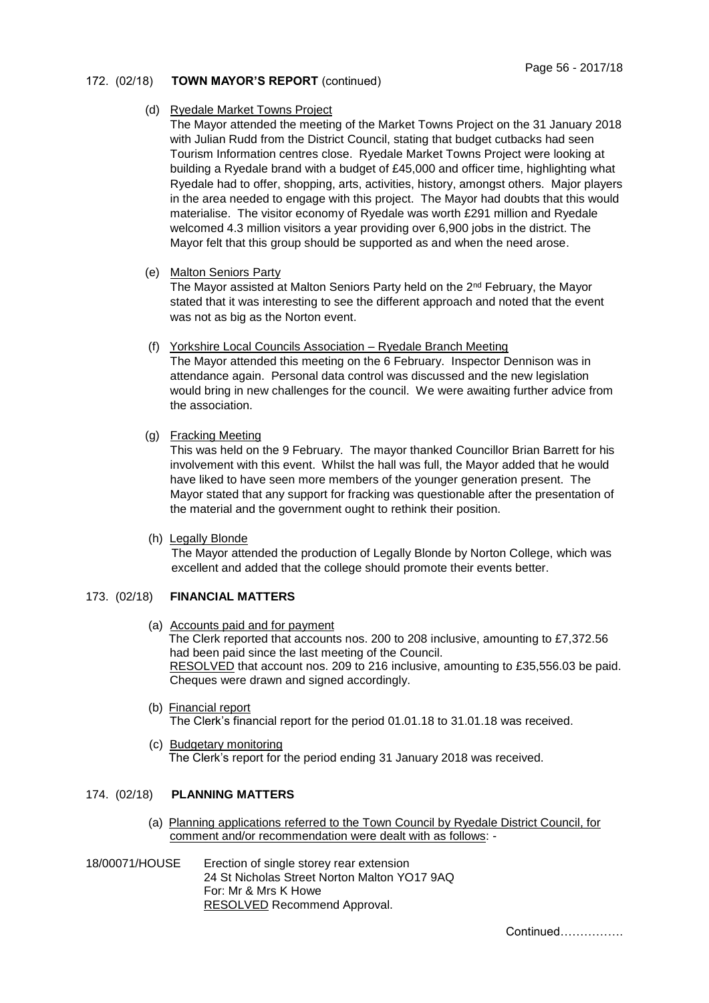# 172. (02/18) **TOWN MAYOR'S REPORT** (continued)

## (d) Ryedale Market Towns Project

The Mayor attended the meeting of the Market Towns Project on the 31 January 2018 with Julian Rudd from the District Council, stating that budget cutbacks had seen Tourism Information centres close. Ryedale Market Towns Project were looking at building a Ryedale brand with a budget of £45,000 and officer time, highlighting what Ryedale had to offer, shopping, arts, activities, history, amongst others. Major players in the area needed to engage with this project. The Mayor had doubts that this would materialise. The visitor economy of Ryedale was worth £291 million and Ryedale welcomed 4.3 million visitors a year providing over 6,900 jobs in the district. The Mayor felt that this group should be supported as and when the need arose.

(e) Malton Seniors Party

The Mayor assisted at Malton Seniors Party held on the 2nd February, the Mayor stated that it was interesting to see the different approach and noted that the event was not as big as the Norton event.

(f) Yorkshire Local Councils Association – Ryedale Branch Meeting

The Mayor attended this meeting on the 6 February. Inspector Dennison was in attendance again. Personal data control was discussed and the new legislation would bring in new challenges for the council. We were awaiting further advice from the association.

(g) Fracking Meeting

This was held on the 9 February. The mayor thanked Councillor Brian Barrett for his involvement with this event. Whilst the hall was full, the Mayor added that he would have liked to have seen more members of the younger generation present. The Mayor stated that any support for fracking was questionable after the presentation of the material and the government ought to rethink their position.

(h) Legally Blonde

The Mayor attended the production of Legally Blonde by Norton College, which was excellent and added that the college should promote their events better.

# 173. (02/18) **FINANCIAL MATTERS**

- (a) Accounts paid and for payment The Clerk reported that accounts nos. 200 to 208 inclusive, amounting to £7,372.56 had been paid since the last meeting of the Council. RESOLVED that account nos. 209 to 216 inclusive, amounting to £35,556.03 be paid. Cheques were drawn and signed accordingly.
- (b) Financial report The Clerk's financial report for the period 01.01.18 to 31.01.18 was received.
- (c) Budgetary monitoring The Clerk's report for the period ending 31 January 2018 was received.

# 174. (02/18) **PLANNING MATTERS**

- (a) Planning applications referred to the Town Council by Ryedale District Council, for comment and/or recommendation were dealt with as follows: -
- 18/00071/HOUSE Erection of single storey rear extension 24 St Nicholas Street Norton Malton YO17 9AQ For: Mr & Mrs K Howe RESOLVED Recommend Approval.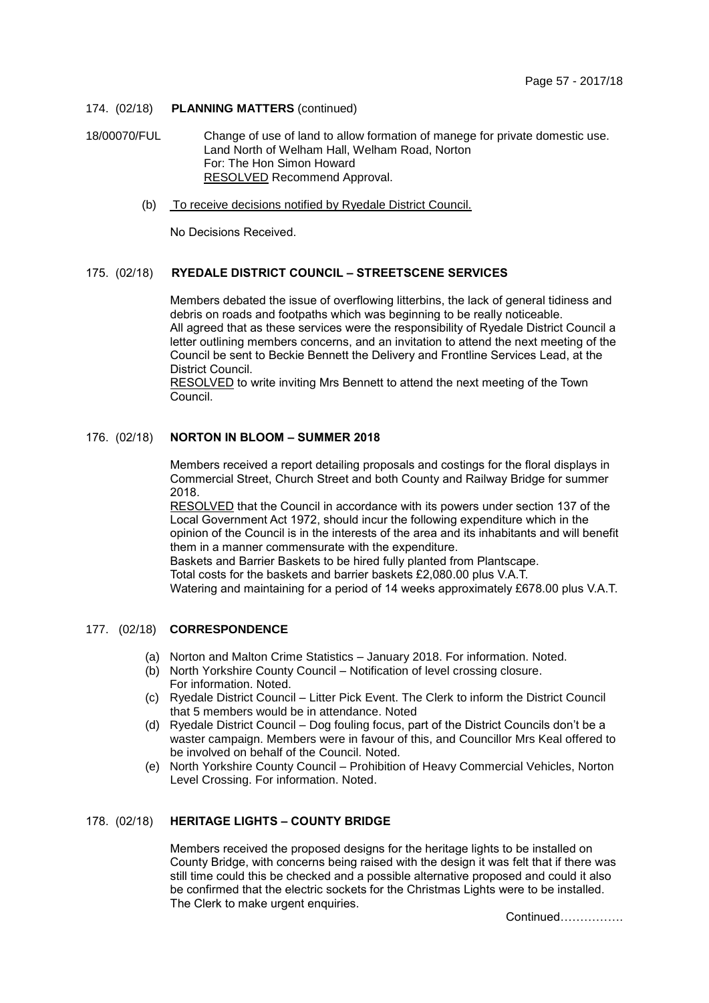## 174. (02/18) **PLANNING MATTERS** (continued)

18/00070/FUL Change of use of land to allow formation of manege for private domestic use. Land North of Welham Hall, Welham Road, Norton For: The Hon Simon Howard RESOLVED Recommend Approval.

(b) To receive decisions notified by Ryedale District Council.

No Decisions Received.

## 175. (02/18) **RYEDALE DISTRICT COUNCIL – STREETSCENE SERVICES**

Members debated the issue of overflowing litterbins, the lack of general tidiness and debris on roads and footpaths which was beginning to be really noticeable. All agreed that as these services were the responsibility of Ryedale District Council a letter outlining members concerns, and an invitation to attend the next meeting of the Council be sent to Beckie Bennett the Delivery and Frontline Services Lead, at the District Council.

RESOLVED to write inviting Mrs Bennett to attend the next meeting of the Town Council.

# 176. (02/18) **NORTON IN BLOOM – SUMMER 2018**

Members received a report detailing proposals and costings for the floral displays in Commercial Street, Church Street and both County and Railway Bridge for summer 2018.

RESOLVED that the Council in accordance with its powers under section 137 of the Local Government Act 1972, should incur the following expenditure which in the opinion of the Council is in the interests of the area and its inhabitants and will benefit them in a manner commensurate with the expenditure.

Baskets and Barrier Baskets to be hired fully planted from Plantscape. Total costs for the baskets and barrier baskets £2,080.00 plus V.A.T. Watering and maintaining for a period of 14 weeks approximately £678.00 plus V.A.T.

### 177. (02/18) **CORRESPONDENCE**

- (a) Norton and Malton Crime Statistics January 2018. For information. Noted.
- (b) North Yorkshire County Council Notification of level crossing closure. For information. Noted.
- (c) Ryedale District Council Litter Pick Event. The Clerk to inform the District Council that 5 members would be in attendance. Noted
- (d) Ryedale District Council Dog fouling focus, part of the District Councils don't be a waster campaign. Members were in favour of this, and Councillor Mrs Keal offered to be involved on behalf of the Council. Noted.
- (e) North Yorkshire County Council Prohibition of Heavy Commercial Vehicles, Norton Level Crossing. For information. Noted.

## 178. (02/18) **HERITAGE LIGHTS – COUNTY BRIDGE**

Members received the proposed designs for the heritage lights to be installed on County Bridge, with concerns being raised with the design it was felt that if there was still time could this be checked and a possible alternative proposed and could it also be confirmed that the electric sockets for the Christmas Lights were to be installed. The Clerk to make urgent enquiries.

Continued…………….